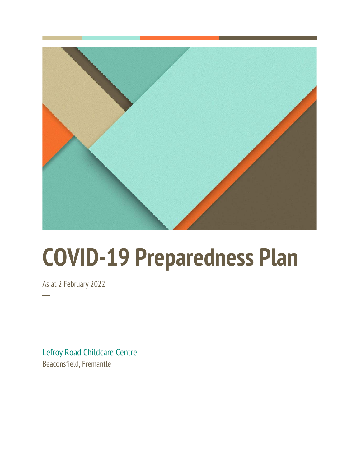

# **COVID-19 Preparedness Plan**

As at 2 February 2022

**─**

Lefroy Road Childcare Centre Beaconsfield, Fremantle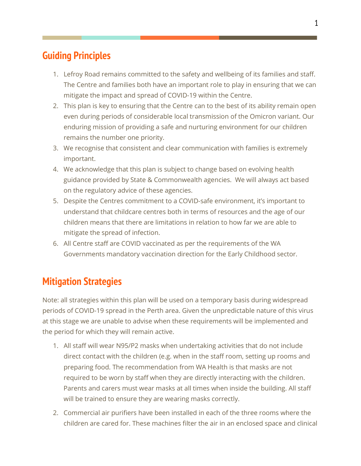## **Guiding Principles**

- 1. Lefroy Road remains committed to the safety and wellbeing of its families and staff. The Centre and families both have an important role to play in ensuring that we can mitigate the impact and spread of COVID-19 within the Centre.
- 2. This plan is key to ensuring that the Centre can to the best of its ability remain open even during periods of considerable local transmission of the Omicron variant. Our enduring mission of providing a safe and nurturing environment for our children remains the number one priority.
- 3. We recognise that consistent and clear communication with families is extremely important.
- 4. We acknowledge that this plan is subject to change based on evolving health guidance provided by State & Commonwealth agencies. We will always act based on the regulatory advice of these agencies.
- 5. Despite the Centres commitment to a COVID-safe environment, it's important to understand that childcare centres both in terms of resources and the age of our children means that there are limitations in relation to how far we are able to mitigate the spread of infection.
- 6. All Centre staff are COVID vaccinated as per the requirements of the WA Governments mandatory vaccination direction for the Early Childhood sector.

## **Mitigation Strategies**

Note: all strategies within this plan will be used on a temporary basis during widespread periods of COVID-19 spread in the Perth area. Given the unpredictable nature of this virus at this stage we are unable to advise when these requirements will be implemented and the period for which they will remain active.

- 1. All staff will wear N95/P2 masks when undertaking activities that do not include direct contact with the children (e.g. when in the staff room, setting up rooms and preparing food. The recommendation from WA Health is that masks are not required to be worn by staff when they are directly interacting with the children. Parents and carers must wear masks at all times when inside the building. All staff will be trained to ensure they are wearing masks correctly.
- 2. Commercial air purifiers have been installed in each of the three rooms where the children are cared for. These machines filter the air in an enclosed space and clinical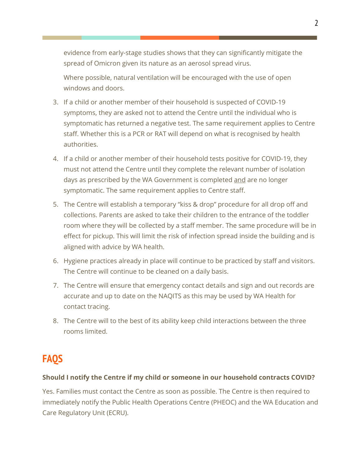evidence from early-stage studies shows that they can significantly mitigate the spread of Omicron given its nature as an aerosol spread virus.

Where possible, natural ventilation will be encouraged with the use of open windows and doors.

- 3. If a child or another member of their household is suspected of COVID-19 symptoms, they are asked not to attend the Centre until the individual who is symptomatic has returned a negative test. The same requirement applies to Centre staff. Whether this is a PCR or RAT will depend on what is recognised by health authorities.
- 4. If a child or another member of their household tests positive for COVID-19, they must not attend the Centre until they complete the relevant number of isolation days as prescribed by the WA Government is completed and are no longer symptomatic. The same requirement applies to Centre staff.
- 5. The Centre will establish a temporary "kiss & drop" procedure for all drop off and collections. Parents are asked to take their children to the entrance of the toddler room where they will be collected by a staff member. The same procedure will be in effect for pickup. This will limit the risk of infection spread inside the building and is aligned with advice by WA health.
- 6. Hygiene practices already in place will continue to be practiced by staff and visitors. The Centre will continue to be cleaned on a daily basis.
- 7. The Centre will ensure that emergency contact details and sign and out records are accurate and up to date on the NAQITS as this may be used by WA Health for contact tracing.
- 8. The Centre will to the best of its ability keep child interactions between the three rooms limited.

# **FAQS**

#### **Should I notify the Centre if my child or someone in our household contracts COVID?**

Yes. Families must contact the Centre as soon as possible. The Centre is then required to immediately notify the Public Health Operations Centre (PHEOC) and the WA Education and Care Regulatory Unit (ECRU).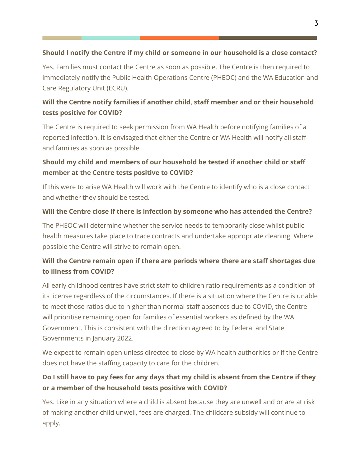#### **Should I notify the Centre if my child or someone in our household is a close contact?**

Yes. Families must contact the Centre as soon as possible. The Centre is then required to immediately notify the Public Health Operations Centre (PHEOC) and the WA Education and Care Regulatory Unit (ECRU).

#### **Will the Centre notify families if another child, staff member and or their household tests positive for COVID?**

The Centre is required to seek permission from WA Health before notifying families of a reported infection. It is envisaged that either the Centre or WA Health will notify all staff and families as soon as possible.

#### **Should my child and members of our household be tested if another child or staff member at the Centre tests positive to COVID?**

If this were to arise WA Health will work with the Centre to identify who is a close contact and whether they should be tested.

#### **Will the Centre close if there is infection by someone who has attended the Centre?**

The PHEOC will determine whether the service needs to temporarily close whilst public health measures take place to trace contracts and undertake appropriate cleaning. Where possible the Centre will strive to remain open.

#### **Will the Centre remain open if there are periods where there are staff shortages due to illness from COVID?**

All early childhood centres have strict staff to children ratio requirements as a condition of its license regardless of the circumstances. If there is a situation where the Centre is unable to meet those ratios due to higher than normal staff absences due to COVID, the Centre will prioritise remaining open for families of essential workers as defined by the WA Government. This is consistent with the direction agreed to by Federal and State Governments in January 2022.

We expect to remain open unless directed to close by WA health authorities or if the Centre does not have the staffing capacity to care for the children.

#### **Do I still have to pay fees for any days that my child is absent from the Centre if they or a member of the household tests positive with COVID?**

Yes. Like in any situation where a child is absent because they are unwell and or are at risk of making another child unwell, fees are charged. The childcare subsidy will continue to apply.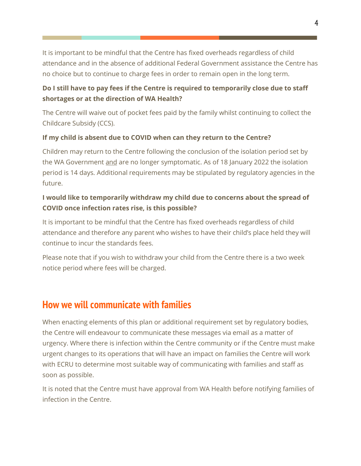It is important to be mindful that the Centre has fixed overheads regardless of child attendance and in the absence of additional Federal Government assistance the Centre has no choice but to continue to charge fees in order to remain open in the long term.

#### **Do I still have to pay fees if the Centre is required to temporarily close due to staff shortages or at the direction of WA Health?**

The Centre will waive out of pocket fees paid by the family whilst continuing to collect the Childcare Subsidy (CCS).

#### **If my child is absent due to COVID when can they return to the Centre?**

Children may return to the Centre following the conclusion of the isolation period set by the WA Government and are no longer symptomatic. As of 18 January 2022 the isolation period is 14 days. Additional requirements may be stipulated by regulatory agencies in the future.

#### **I would like to temporarily withdraw my child due to concerns about the spread of COVID once infection rates rise, is this possible?**

It is important to be mindful that the Centre has fixed overheads regardless of child attendance and therefore any parent who wishes to have their child's place held they will continue to incur the standards fees.

Please note that if you wish to withdraw your child from the Centre there is a two week notice period where fees will be charged.

### **How we will communicate with families**

When enacting elements of this plan or additional requirement set by regulatory bodies, the Centre will endeavour to communicate these messages via email as a matter of urgency. Where there is infection within the Centre community or if the Centre must make urgent changes to its operations that will have an impact on families the Centre will work with ECRU to determine most suitable way of communicating with families and staff as soon as possible.

It is noted that the Centre must have approval from WA Health before notifying families of infection in the Centre.